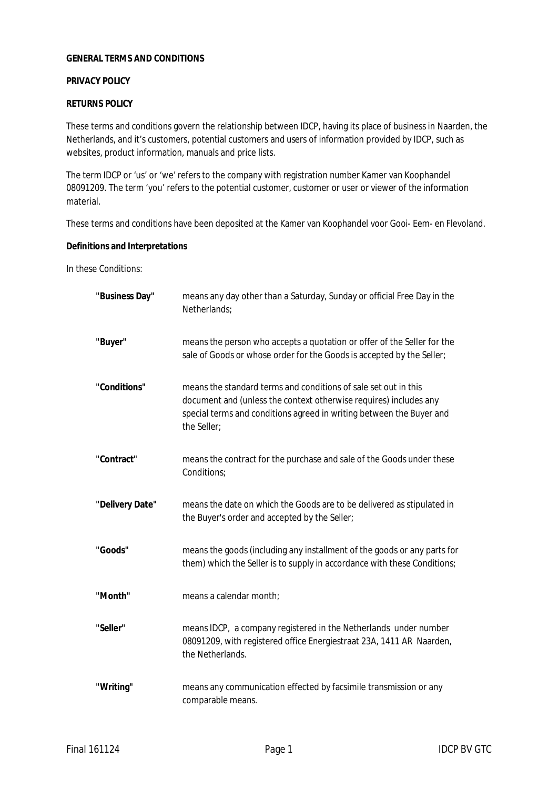## **GENERAL TERMS AND CONDITIONS**

## **PRIVACY POLICY**

## **RETURNS POLICY**

These terms and conditions govern the relationship between IDCP, having its place of business in Naarden, the Netherlands, and it's customers, potential customers and users of information provided by IDCP, such as websites, product information, manuals and price lists.

The term IDCP or 'us' or 'we' refers to the company with registration number Kamer van Koophandel 08091209. The term 'you' refers to the potential customer, customer or user or viewer of the information material.

These terms and conditions have been deposited at the Kamer van Koophandel voor Gooi- Eem- en Flevoland.

**Definitions and Interpretations**

In these Conditions:

| "Business Day"  | means any day other than a Saturday, Sunday or official Free Day in the<br>Netherlands;                                                                                                                                     |
|-----------------|-----------------------------------------------------------------------------------------------------------------------------------------------------------------------------------------------------------------------------|
| "Buyer"         | means the person who accepts a quotation or offer of the Seller for the<br>sale of Goods or whose order for the Goods is accepted by the Seller;                                                                            |
| "Conditions"    | means the standard terms and conditions of sale set out in this<br>document and (unless the context otherwise requires) includes any<br>special terms and conditions agreed in writing between the Buyer and<br>the Seller; |
| "Contract"      | means the contract for the purchase and sale of the Goods under these<br>Conditions;                                                                                                                                        |
| "Delivery Date" | means the date on which the Goods are to be delivered as stipulated in<br>the Buyer's order and accepted by the Seller;                                                                                                     |
| "Goods"         | means the goods (including any installment of the goods or any parts for<br>them) which the Seller is to supply in accordance with these Conditions;                                                                        |
| "Month"         | means a calendar month;                                                                                                                                                                                                     |
| "Seller"        | means IDCP, a company registered in the Netherlands under number<br>08091209, with registered office Energiestraat 23A, 1411 AR Naarden,<br>the Netherlands.                                                                |
| "Writing"       | means any communication effected by facsimile transmission or any<br>comparable means.                                                                                                                                      |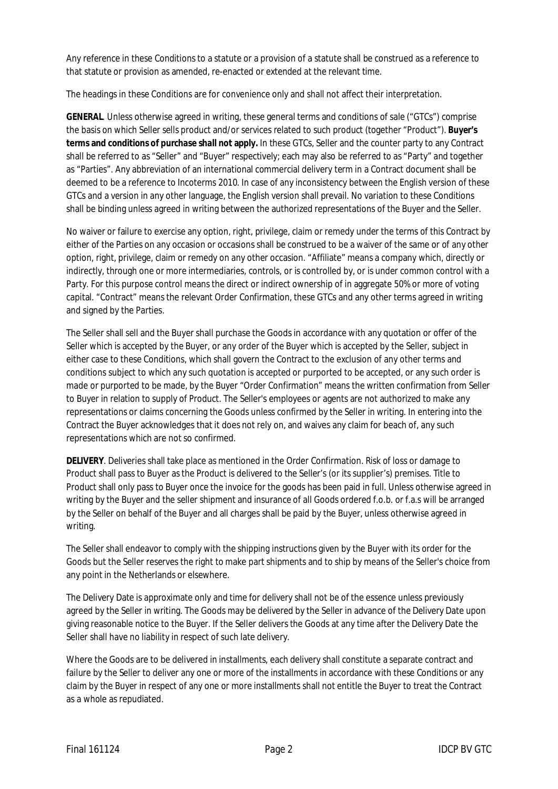Any reference in these Conditions to a statute or a provision of a statute shall be construed as a reference to that statute or provision as amended, re-enacted or extended at the relevant time.

The headings in these Conditions are for convenience only and shall not affect their interpretation.

**GENERAL**. Unless otherwise agreed in writing, these general terms and conditions of sale ("GTCs") comprise the basis on which Seller sells product and/or services related to such product (together "Product"). **Buyer's terms and conditions of purchase shall not apply.** In these GTCs, Seller and the counter party to any Contract shall be referred to as "Seller" and "Buyer" respectively; each may also be referred to as "Party" and together as "Parties". Any abbreviation of an international commercial delivery term in a Contract document shall be deemed to be a reference to Incoterms 2010. In case of any inconsistency between the English version of these GTCs and a version in any other language, the English version shall prevail. No variation to these Conditions shall be binding unless agreed in writing between the authorized representations of the Buyer and the Seller.

No waiver or failure to exercise any option, right, privilege, claim or remedy under the terms of this Contract by either of the Parties on any occasion or occasions shall be construed to be a waiver of the same or of any other option, right, privilege, claim or remedy on any other occasion. "Affiliate" means a company which, directly or indirectly, through one or more intermediaries, controls, or is controlled by, or is under common control with a Party. For this purpose control means the direct or indirect ownership of in aggregate 50% or more of voting capital. "Contract" means the relevant Order Confirmation, these GTCs and any other terms agreed in writing and signed by the Parties.

The Seller shall sell and the Buyer shall purchase the Goods in accordance with any quotation or offer of the Seller which is accepted by the Buyer, or any order of the Buyer which is accepted by the Seller, subject in either case to these Conditions, which shall govern the Contract to the exclusion of any other terms and conditions subject to which any such quotation is accepted or purported to be accepted, or any such order is made or purported to be made, by the Buyer "Order Confirmation" means the written confirmation from Seller to Buyer in relation to supply of Product. The Seller's employees or agents are not authorized to make any representations or claims concerning the Goods unless confirmed by the Seller in writing. In entering into the Contract the Buyer acknowledges that it does not rely on, and waives any claim for beach of, any such representations which are not so confirmed.

**DELIVERY**. Deliveries shall take place as mentioned in the Order Confirmation. Risk of loss or damage to Product shall pass to Buyer as the Product is delivered to the Seller's (or its supplier's) premises. Title to Product shall only pass to Buyer once the invoice for the goods has been paid in full. Unless otherwise agreed in writing by the Buyer and the seller shipment and insurance of all Goods ordered f.o.b. or f.a.s will be arranged by the Seller on behalf of the Buyer and all charges shall be paid by the Buyer, unless otherwise agreed in writing.

The Seller shall endeavor to comply with the shipping instructions given by the Buyer with its order for the Goods but the Seller reserves the right to make part shipments and to ship by means of the Seller's choice from any point in the Netherlands or elsewhere.

The Delivery Date is approximate only and time for delivery shall not be of the essence unless previously agreed by the Seller in writing. The Goods may be delivered by the Seller in advance of the Delivery Date upon giving reasonable notice to the Buyer. If the Seller delivers the Goods at any time after the Delivery Date the Seller shall have no liability in respect of such late delivery.

Where the Goods are to be delivered in installments, each delivery shall constitute a separate contract and failure by the Seller to deliver any one or more of the installments in accordance with these Conditions or any claim by the Buyer in respect of any one or more installments shall not entitle the Buyer to treat the Contract as a whole as repudiated.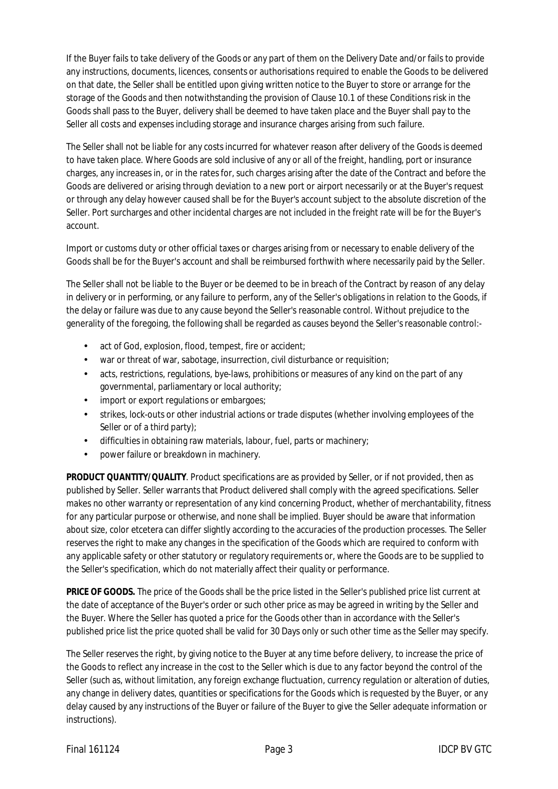If the Buyer fails to take delivery of the Goods or any part of them on the Delivery Date and/or fails to provide any instructions, documents, licences, consents or authorisations required to enable the Goods to be delivered on that date, the Seller shall be entitled upon giving written notice to the Buyer to store or arrange for the storage of the Goods and then notwithstanding the provision of Clause 10.1 of these Conditions risk in the Goods shall pass to the Buyer, delivery shall be deemed to have taken place and the Buyer shall pay to the Seller all costs and expenses including storage and insurance charges arising from such failure.

The Seller shall not be liable for any costs incurred for whatever reason after delivery of the Goods is deemed to have taken place. Where Goods are sold inclusive of any or all of the freight, handling, port or insurance charges, any increases in, or in the rates for, such charges arising after the date of the Contract and before the Goods are delivered or arising through deviation to a new port or airport necessarily or at the Buyer's request or through any delay however caused shall be for the Buyer's account subject to the absolute discretion of the Seller. Port surcharges and other incidental charges are not included in the freight rate will be for the Buyer's account.

Import or customs duty or other official taxes or charges arising from or necessary to enable delivery of the Goods shall be for the Buyer's account and shall be reimbursed forthwith where necessarily paid by the Seller.

The Seller shall not be liable to the Buyer or be deemed to be in breach of the Contract by reason of any delay in delivery or in performing, or any failure to perform, any of the Seller's obligations in relation to the Goods, if the delay or failure was due to any cause beyond the Seller's reasonable control. Without prejudice to the generality of the foregoing, the following shall be regarded as causes beyond the Seller's reasonable control:-

- act of God, explosion, flood, tempest, fire or accident;
- war or threat of war, sabotage, insurrection, civil disturbance or requisition;  $\mathbf{r}$
- acts, restrictions, regulations, bye-laws, prohibitions or measures of any kind on the part of any ΥĒ. governmental, parliamentary or local authority;
- import or export regulations or embargoes;  $\mathbf{r}$
- strikes, lock-outs or other industrial actions or trade disputes (whether involving employees of the Seller or of a third party);
- difficulties in obtaining raw materials, labour, fuel, parts or machinery;
- $\ddot{\phantom{a}}$ power failure or breakdown in machinery.

**PRODUCT QUANTITY/QUALITY**. Product specifications are as provided by Seller, or if not provided, then as published by Seller. Seller warrants that Product delivered shall comply with the agreed specifications. Seller makes no other warranty or representation of any kind concerning Product, whether of merchantability, fitness for any particular purpose or otherwise, and none shall be implied. Buyer should be aware that information about size, color etcetera can differ slightly according to the accuracies of the production processes. The Seller reserves the right to make any changes in the specification of the Goods which are required to conform with any applicable safety or other statutory or regulatory requirements or, where the Goods are to be supplied to the Seller's specification, which do not materially affect their quality or performance.

**PRICE OF GOODS.** The price of the Goods shall be the price listed in the Seller's published price list current at the date of acceptance of the Buyer's order or such other price as may be agreed in writing by the Seller and the Buyer. Where the Seller has quoted a price for the Goods other than in accordance with the Seller's published price list the price quoted shall be valid for 30 Days only or such other time as the Seller may specify.

The Seller reserves the right, by giving notice to the Buyer at any time before delivery, to increase the price of the Goods to reflect any increase in the cost to the Seller which is due to any factor beyond the control of the Seller (such as, without limitation, any foreign exchange fluctuation, currency regulation or alteration of duties, any change in delivery dates, quantities or specifications for the Goods which is requested by the Buyer, or any delay caused by any instructions of the Buyer or failure of the Buyer to give the Seller adequate information or instructions).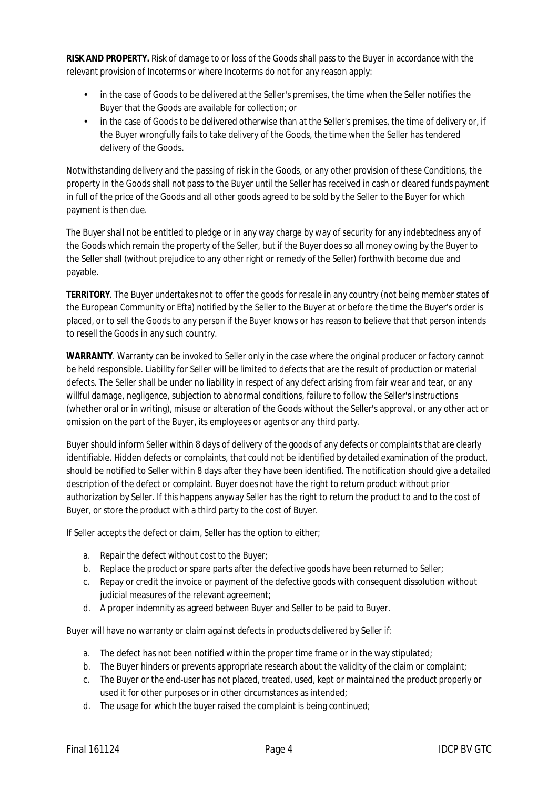**RISK AND PROPERTY.** Risk of damage to or loss of the Goods shall pass to the Buyer in accordance with the relevant provision of Incoterms or where Incoterms do not for any reason apply:

- in the case of Goods to be delivered at the Seller's premises, the time when the Seller notifies the Buyer that the Goods are available for collection; or
- in the case of Goods to be delivered otherwise than at the Seller's premises, the time of delivery or, if  $\mathcal{L}^{\text{max}}$ the Buyer wrongfully fails to take delivery of the Goods, the time when the Seller has tendered delivery of the Goods.

Notwithstanding delivery and the passing of risk in the Goods, or any other provision of these Conditions, the property in the Goods shall not pass to the Buyer until the Seller has received in cash or cleared funds payment in full of the price of the Goods and all other goods agreed to be sold by the Seller to the Buyer for which payment is then due.

The Buyer shall not be entitled to pledge or in any way charge by way of security for any indebtedness any of the Goods which remain the property of the Seller, but if the Buyer does so all money owing by the Buyer to the Seller shall (without prejudice to any other right or remedy of the Seller) forthwith become due and payable.

**TERRITORY**. The Buyer undertakes not to offer the goods for resale in any country (not being member states of the European Community or Efta) notified by the Seller to the Buyer at or before the time the Buyer's order is placed, or to sell the Goods to any person if the Buyer knows or has reason to believe that that person intends to resell the Goods in any such country.

**WARRANTY**. Warranty can be invoked to Seller only in the case where the original producer or factory cannot be held responsible. Liability for Seller will be limited to defects that are the result of production or material defects. The Seller shall be under no liability in respect of any defect arising from fair wear and tear, or any willful damage, negligence, subjection to abnormal conditions, failure to follow the Seller's instructions (whether oral or in writing), misuse or alteration of the Goods without the Seller's approval, or any other act or omission on the part of the Buyer, its employees or agents or any third party.

Buyer should inform Seller within 8 days of delivery of the goods of any defects or complaints that are clearly identifiable. Hidden defects or complaints, that could not be identified by detailed examination of the product, should be notified to Seller within 8 days after they have been identified. The notification should give a detailed description of the defect or complaint. Buyer does not have the right to return product without prior authorization by Seller. If this happens anyway Seller has the right to return the product to and to the cost of Buyer, or store the product with a third party to the cost of Buyer.

If Seller accepts the defect or claim, Seller has the option to either;

- a. Repair the defect without cost to the Buyer;
- b. Replace the product or spare parts after the defective goods have been returned to Seller;
- c. Repay or credit the invoice or payment of the defective goods with consequent dissolution without judicial measures of the relevant agreement;
- d. A proper indemnity as agreed between Buyer and Seller to be paid to Buyer.

Buyer will have no warranty or claim against defects in products delivered by Seller if:

- a. The defect has not been notified within the proper time frame or in the way stipulated;
- b. The Buyer hinders or prevents appropriate research about the validity of the claim or complaint;
- c. The Buyer or the end-user has not placed, treated, used, kept or maintained the product properly or used it for other purposes or in other circumstances as intended;
- d. The usage for which the buyer raised the complaint is being continued;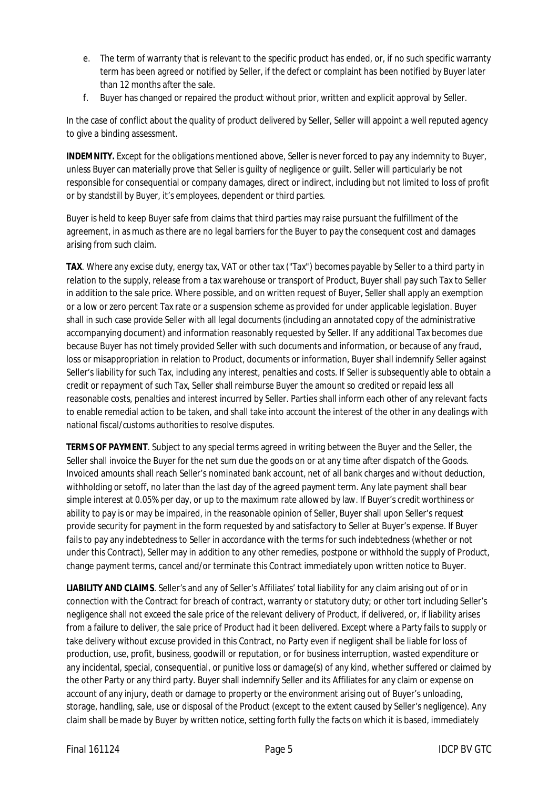- e. The term of warranty that is relevant to the specific product has ended, or, if no such specific warranty term has been agreed or notified by Seller, if the defect or complaint has been notified by Buyer later than 12 months after the sale.
- f. Buyer has changed or repaired the product without prior, written and explicit approval by Seller.

In the case of conflict about the quality of product delivered by Seller, Seller will appoint a well reputed agency to give a binding assessment.

**INDEMNITY.** Except for the obligations mentioned above, Seller is never forced to pay any indemnity to Buyer, unless Buyer can materially prove that Seller is guilty of negligence or guilt. Seller will particularly be not responsible for consequential or company damages, direct or indirect, including but not limited to loss of profit or by standstill by Buyer, it's employees, dependent or third parties.

Buyer is held to keep Buyer safe from claims that third parties may raise pursuant the fulfillment of the agreement, in as much as there are no legal barriers for the Buyer to pay the consequent cost and damages arising from such claim.

**TAX**. Where any excise duty, energy tax, VAT or other tax ("Tax") becomes payable by Seller to a third party in relation to the supply, release from a tax warehouse or transport of Product, Buyer shall pay such Tax to Seller in addition to the sale price. Where possible, and on written request of Buyer, Seller shall apply an exemption or a low or zero percent Tax rate or a suspension scheme as provided for under applicable legislation. Buyer shall in such case provide Seller with all legal documents (including an annotated copy of the administrative accompanying document) and information reasonably requested by Seller. If any additional Tax becomes due because Buyer has not timely provided Seller with such documents and information, or because of any fraud, loss or misappropriation in relation to Product, documents or information, Buyer shall indemnify Seller against Seller's liability for such Tax, including any interest, penalties and costs. If Seller is subsequently able to obtain a credit or repayment of such Tax, Seller shall reimburse Buyer the amount so credited or repaid less all reasonable costs, penalties and interest incurred by Seller. Parties shall inform each other of any relevant facts to enable remedial action to be taken, and shall take into account the interest of the other in any dealings with national fiscal/customs authorities to resolve disputes.

**TERMS OF PAYMENT**. Subject to any special terms agreed in writing between the Buyer and the Seller, the Seller shall invoice the Buyer for the net sum due the goods on or at any time after dispatch of the Goods. Invoiced amounts shall reach Seller's nominated bank account, net of all bank charges and without deduction, withholding or setoff, no later than the last day of the agreed payment term. Any late payment shall bear simple interest at 0.05% per day, or up to the maximum rate allowed by law. If Buyer's credit worthiness or ability to pay is or may be impaired, in the reasonable opinion of Seller, Buyer shall upon Seller's request provide security for payment in the form requested by and satisfactory to Seller at Buyer's expense. If Buyer fails to pay any indebtedness to Seller in accordance with the terms for such indebtedness (whether or not under this Contract), Seller may in addition to any other remedies, postpone or withhold the supply of Product, change payment terms, cancel and/or terminate this Contract immediately upon written notice to Buyer.

**LIABILITY AND CLAIMS**. Seller's and any of Seller's Affiliates' total liability for any claim arising out of or in connection with the Contract for breach of contract, warranty or statutory duty; or other tort including Seller's negligence shall not exceed the sale price of the relevant delivery of Product, if delivered, or, if liability arises from a failure to deliver, the sale price of Product had it been delivered. Except where a Party fails to supply or take delivery without excuse provided in this Contract, no Party even if negligent shall be liable for loss of production, use, profit, business, goodwill or reputation, or for business interruption, wasted expenditure or any incidental, special, consequential, or punitive loss or damage(s) of any kind, whether suffered or claimed by the other Party or any third party. Buyer shall indemnify Seller and its Affiliates for any claim or expense on account of any injury, death or damage to property or the environment arising out of Buyer's unloading, storage, handling, sale, use or disposal of the Product (except to the extent caused by Seller's negligence). Any claim shall be made by Buyer by written notice, setting forth fully the facts on which it is based, immediately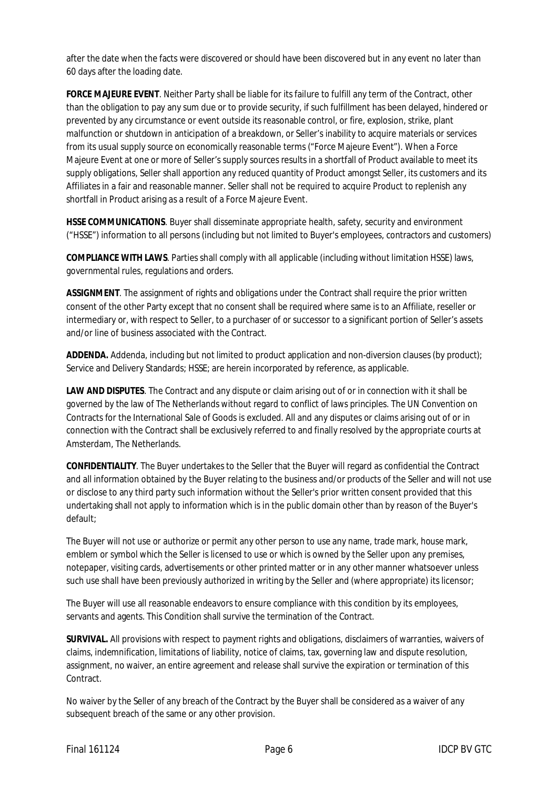after the date when the facts were discovered or should have been discovered but in any event no later than 60 days after the loading date.

**FORCE MAJEURE EVENT**. Neither Party shall be liable for its failure to fulfill any term of the Contract, other than the obligation to pay any sum due or to provide security, if such fulfillment has been delayed, hindered or prevented by any circumstance or event outside its reasonable control, or fire, explosion, strike, plant malfunction or shutdown in anticipation of a breakdown, or Seller's inability to acquire materials or services from its usual supply source on economically reasonable terms ("Force Majeure Event"). When a Force Majeure Event at one or more of Seller's supply sources results in a shortfall of Product available to meet its supply obligations, Seller shall apportion any reduced quantity of Product amongst Seller, its customers and its Affiliates in a fair and reasonable manner. Seller shall not be required to acquire Product to replenish any shortfall in Product arising as a result of a Force Majeure Event.

**HSSE COMMUNICATIONS**. Buyer shall disseminate appropriate health, safety, security and environment ("HSSE") information to all persons (including but not limited to Buyer's employees, contractors and customers)

**COMPLIANCE WITH LAWS**. Parties shall comply with all applicable (including without limitation HSSE) laws, governmental rules, regulations and orders.

**ASSIGNMENT**. The assignment of rights and obligations under the Contract shall require the prior written consent of the other Party except that no consent shall be required where same is to an Affiliate, reseller or intermediary or, with respect to Seller, to a purchaser of or successor to a significant portion of Seller's assets and/or line of business associated with the Contract.

**ADDENDA.** Addenda, including but not limited to product application and non-diversion clauses (by product); Service and Delivery Standards; HSSE; are herein incorporated by reference, as applicable.

**LAW AND DISPUTES**. The Contract and any dispute or claim arising out of or in connection with it shall be governed by the law of The Netherlands without regard to conflict of laws principles. The UN Convention on Contracts for the International Sale of Goods is excluded. All and any disputes or claims arising out of or in connection with the Contract shall be exclusively referred to and finally resolved by the appropriate courts at Amsterdam, The Netherlands.

**CONFIDENTIALITY**. The Buyer undertakes to the Seller that the Buyer will regard as confidential the Contract and all information obtained by the Buyer relating to the business and/or products of the Seller and will not use or disclose to any third party such information without the Seller's prior written consent provided that this undertaking shall not apply to information which is in the public domain other than by reason of the Buyer's default;

The Buyer will not use or authorize or permit any other person to use any name, trade mark, house mark, emblem or symbol which the Seller is licensed to use or which is owned by the Seller upon any premises, notepaper, visiting cards, advertisements or other printed matter or in any other manner whatsoever unless such use shall have been previously authorized in writing by the Seller and (where appropriate) its licensor;

The Buyer will use all reasonable endeavors to ensure compliance with this condition by its employees, servants and agents. This Condition shall survive the termination of the Contract.

**SURVIVAL.** All provisions with respect to payment rights and obligations, disclaimers of warranties, waivers of claims, indemnification, limitations of liability, notice of claims, tax, governing law and dispute resolution, assignment, no waiver, an entire agreement and release shall survive the expiration or termination of this Contract.

No waiver by the Seller of any breach of the Contract by the Buyer shall be considered as a waiver of any subsequent breach of the same or any other provision.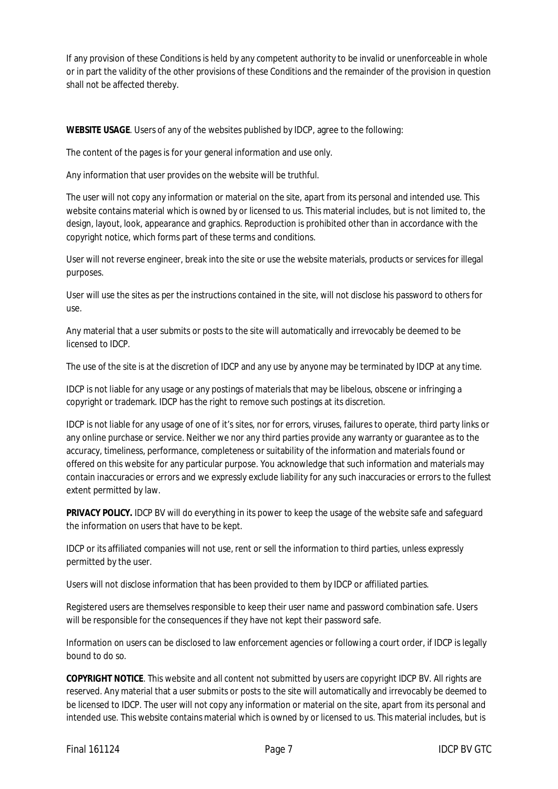If any provision of these Conditions is held by any competent authority to be invalid or unenforceable in whole or in part the validity of the other provisions of these Conditions and the remainder of the provision in question shall not be affected thereby.

**WEBSITE USAGE**. Users of any of the websites published by IDCP, agree to the following:

The content of the pages is for your general information and use only.

Any information that user provides on the website will be truthful.

The user will not copy any information or material on the site, apart from its personal and intended use. This website contains material which is owned by or licensed to us. This material includes, but is not limited to, the design, layout, look, appearance and graphics. Reproduction is prohibited other than in accordance with the copyright notice, which forms part of these terms and conditions.

User will not reverse engineer, break into the site or use the website materials, products or services for illegal purposes.

User will use the sites as per the instructions contained in the site, will not disclose his password to others for use.

Any material that a user submits or posts to the site will automatically and irrevocably be deemed to be licensed to IDCP.

The use of the site is at the discretion of IDCP and any use by anyone may be terminated by IDCP at any time.

IDCP is not liable for any usage or any postings of materials that may be libelous, obscene or infringing a copyright or trademark. IDCP has the right to remove such postings at its discretion.

IDCP is not liable for any usage of one of it's sites, nor for errors, viruses, failures to operate, third party links or any online purchase or service. Neither we nor any third parties provide any warranty or guarantee as to the accuracy, timeliness, performance, completeness or suitability of the information and materials found or offered on this website for any particular purpose. You acknowledge that such information and materials may contain inaccuracies or errors and we expressly exclude liability for any such inaccuracies or errors to the fullest extent permitted by law.

**PRIVACY POLICY.** IDCP BV will do everything in its power to keep the usage of the website safe and safeguard the information on users that have to be kept.

IDCP or its affiliated companies will not use, rent or sell the information to third parties, unless expressly permitted by the user.

Users will not disclose information that has been provided to them by IDCP or affiliated parties.

Registered users are themselves responsible to keep their user name and password combination safe. Users will be responsible for the consequences if they have not kept their password safe.

Information on users can be disclosed to law enforcement agencies or following a court order, if IDCP is legally bound to do so.

**COPYRIGHT NOTICE**. This website and all content not submitted by users are copyright IDCP BV. All rights are reserved. Any material that a user submits or posts to the site will automatically and irrevocably be deemed to be licensed to IDCP. The user will not copy any information or material on the site, apart from its personal and intended use. This website contains material which is owned by or licensed to us. This material includes, but is